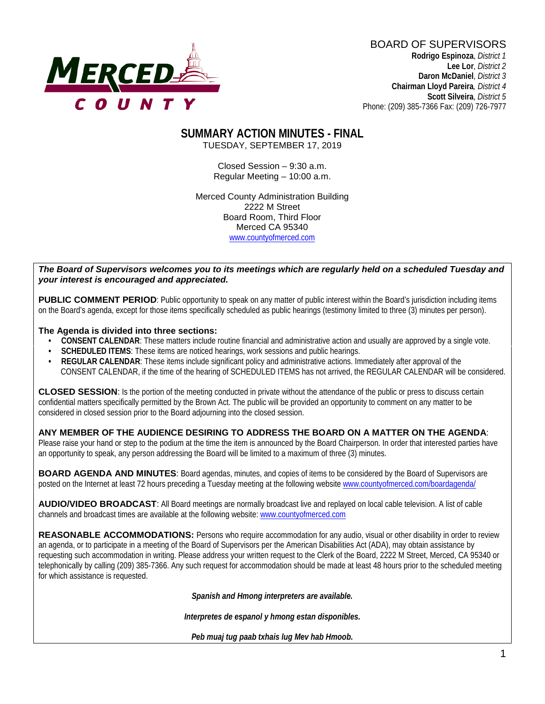

BOARD OF SUPERVISORS **Rodrigo Espinoza**, *District 1*  **Lee Lor**, *District 2*  **Daron McDaniel**, *District 3* **Chairman Lloyd Pareira***, District 4*  **Scott Silveira**, *District 5* Phone: (209) 385-7366 Fax: (209) 726-7977

### **SUMMARY ACTION MINUTES - FINAL** TUESDAY, SEPTEMBER 17, 2019

Closed Session – 9:30 a.m. Regular Meeting – 10:00 a.m.

Merced County Administration Building 2222 M Street Board Room, Third Floor Merced CA 95340 www.countyofmerced.com

#### *The Board of Supervisors welcomes you to its meetings which are regularly held on a scheduled Tuesday and your interest is encouraged and appreciated.*

**PUBLIC COMMENT PERIOD:** Public opportunity to speak on any matter of public interest within the Board's jurisdiction including items on the Board's agenda, except for those items specifically scheduled as public hearings (testimony limited to three (3) minutes per person).

#### **The Agenda is divided into three sections:**

- **CONSENT CALENDAR**: These matters include routine financial and administrative action and usually are approved by a single vote.
- **SCHEDULED ITEMS:** These items are noticed hearings, work sessions and public hearings.
- **REGULAR CALENDAR**: These items include significant policy and administrative actions. Immediately after approval of the CONSENT CALENDAR, if the time of the hearing of SCHEDULED ITEMS has not arrived, the REGULAR CALENDAR will be considered.

**CLOSED SESSION**: Is the portion of the meeting conducted in private without the attendance of the public or press to discuss certain confidential matters specifically permitted by the Brown Act. The public will be provided an opportunity to comment on any matter to be considered in closed session prior to the Board adjourning into the closed session.

#### **ANY MEMBER OF THE AUDIENCE DESIRING TO ADDRESS THE BOARD ON A MATTER ON THE AGENDA**:

Please raise your hand or step to the podium at the time the item is announced by the Board Chairperson. In order that interested parties have an opportunity to speak, any person addressing the Board will be limited to a maximum of three (3) minutes.

**BOARD AGENDA AND MINUTES:** Board agendas, minutes, and copies of items to be considered by the Board of Supervisors are posted on the Internet at least 72 hours preceding a Tuesday meeting at the following website [www.countyofmerced.com/boardagenda/](http://www.countyofmerced.com/boardagenda/) 

**AUDIO/VIDEO BROADCAST**: All Board meetings are normally broadcast live and replayed on local cable television. A list of cable channels and broadcast times are available at the following website[: www.countyofmerced.com](http://www.countyofmerced.com/)

**REASONABLE ACCOMMODATIONS:** Persons who require accommodation for any audio, visual or other disability in order to review an agenda, or to participate in a meeting of the Board of Supervisors per the American Disabilities Act (ADA), may obtain assistance by requesting such accommodation in writing. Please address your written request to the Clerk of the Board, 2222 M Street, Merced, CA 95340 or telephonically by calling (209) 385-7366. Any such request for accommodation should be made at least 48 hours prior to the scheduled meeting for which assistance is requested.

*Spanish and Hmong interpreters are available.*

*Interpretes de espanol y hmong estan disponibles.*

*Peb muaj tug paab txhais lug Mev hab Hmoob.*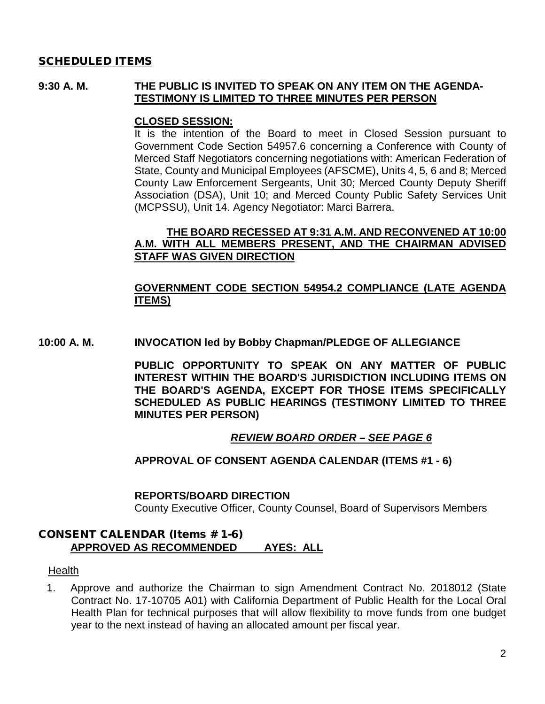### SCHEDULED ITEMS

### **9:30 A. M. THE PUBLIC IS INVITED TO SPEAK ON ANY ITEM ON THE AGENDA-TESTIMONY IS LIMITED TO THREE MINUTES PER PERSON**

### **CLOSED SESSION:**

It is the intention of the Board to meet in Closed Session pursuant to Government Code Section 54957.6 concerning a Conference with County of Merced Staff Negotiators concerning negotiations with: American Federation of State, County and Municipal Employees (AFSCME), Units 4, 5, 6 and 8; Merced County Law Enforcement Sergeants, Unit 30; Merced County Deputy Sheriff Association (DSA), Unit 10; and Merced County Public Safety Services Unit (MCPSSU), Unit 14. Agency Negotiator: Marci Barrera.

### **THE BOARD RECESSED AT 9:31 A.M. AND RECONVENED AT 10:00 A.M. WITH ALL MEMBERS PRESENT, AND THE CHAIRMAN ADVISED STAFF WAS GIVEN DIRECTION**

### **GOVERNMENT CODE SECTION 54954.2 COMPLIANCE (LATE AGENDA ITEMS)**

**10:00 A. M. INVOCATION led by Bobby Chapman/PLEDGE OF ALLEGIANCE**

**PUBLIC OPPORTUNITY TO SPEAK ON ANY MATTER OF PUBLIC INTEREST WITHIN THE BOARD'S JURISDICTION INCLUDING ITEMS ON THE BOARD'S AGENDA, EXCEPT FOR THOSE ITEMS SPECIFICALLY SCHEDULED AS PUBLIC HEARINGS (TESTIMONY LIMITED TO THREE MINUTES PER PERSON)**

### *REVIEW BOARD ORDER – SEE PAGE 6*

#### **APPROVAL OF CONSENT AGENDA CALENDAR (ITEMS #1 - 6)**

#### **REPORTS/BOARD DIRECTION**

County Executive Officer, County Counsel, Board of Supervisors Members

### CONSENT CALENDAR (Items # 1-6) **APPROVED AS RECOMMENDED AYES: ALL**

**Health** 

1. Approve and authorize the Chairman to sign Amendment Contract No. 2018012 (State Contract No. 17-10705 A01) with California Department of Public Health for the Local Oral Health Plan for technical purposes that will allow flexibility to move funds from one budget year to the next instead of having an allocated amount per fiscal year.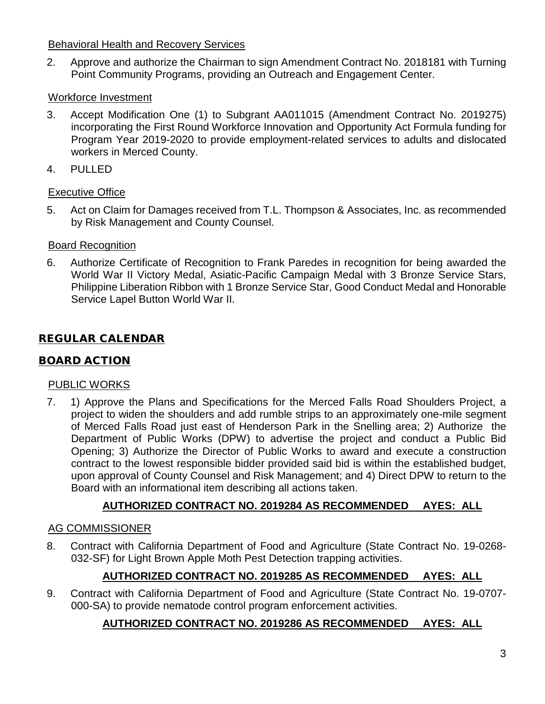# Behavioral Health and Recovery Services

2. Approve and authorize the Chairman to sign Amendment Contract No. 2018181 with Turning Point Community Programs, providing an Outreach and Engagement Center.

# Workforce Investment

- 3. Accept Modification One (1) to Subgrant AA011015 (Amendment Contract No. 2019275) incorporating the First Round Workforce Innovation and Opportunity Act Formula funding for Program Year 2019-2020 to provide employment-related services to adults and dislocated workers in Merced County.
- 4. PULLED

# Executive Office

5. Act on Claim for Damages received from T.L. Thompson & Associates, Inc. as recommended by Risk Management and County Counsel.

# Board Recognition

6. Authorize Certificate of Recognition to Frank Paredes in recognition for being awarded the World War II Victory Medal, Asiatic-Pacific Campaign Medal with 3 Bronze Service Stars, Philippine Liberation Ribbon with 1 Bronze Service Star, Good Conduct Medal and Honorable Service Lapel Button World War II.

# REGULAR CALENDAR

# BOARD ACTION

# PUBLIC WORKS

7. 1) Approve the Plans and Specifications for the Merced Falls Road Shoulders Project, a project to widen the shoulders and add rumble strips to an approximately one-mile segment of Merced Falls Road just east of Henderson Park in the Snelling area; 2) Authorize the Department of Public Works (DPW) to advertise the project and conduct a Public Bid Opening; 3) Authorize the Director of Public Works to award and execute a construction contract to the lowest responsible bidder provided said bid is within the established budget, upon approval of County Counsel and Risk Management; and 4) Direct DPW to return to the Board with an informational item describing all actions taken.

# **AUTHORIZED CONTRACT NO. 2019284 AS RECOMMENDED AYES: ALL**

# AG COMMISSIONER

8. Contract with California Department of Food and Agriculture (State Contract No. 19-0268- 032-SF) for Light Brown Apple Moth Pest Detection trapping activities.

# **AUTHORIZED CONTRACT NO. 2019285 AS RECOMMENDED AYES: ALL**

9. Contract with California Department of Food and Agriculture (State Contract No. 19-0707- 000-SA) to provide nematode control program enforcement activities.

# **AUTHORIZED CONTRACT NO. 2019286 AS RECOMMENDED AYES: ALL**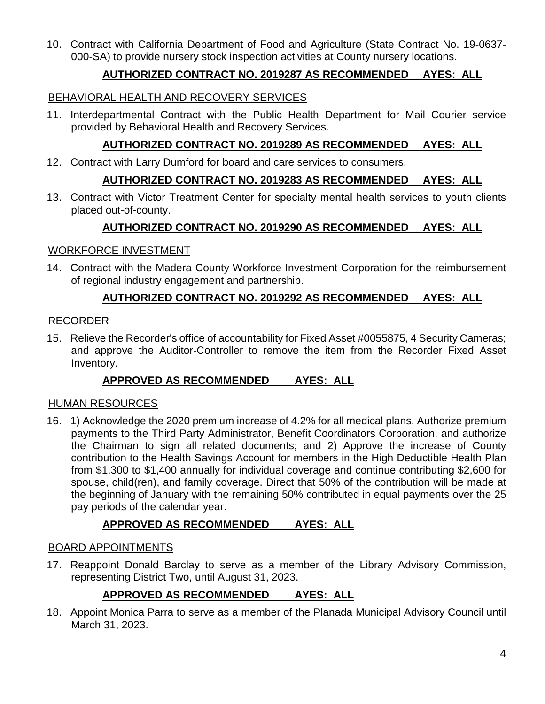10. Contract with California Department of Food and Agriculture (State Contract No. 19-0637- 000-SA) to provide nursery stock inspection activities at County nursery locations.

# **AUTHORIZED CONTRACT NO. 2019287 AS RECOMMENDED AYES: ALL**

### BEHAVIORAL HEALTH AND RECOVERY SERVICES

11. Interdepartmental Contract with the Public Health Department for Mail Courier service provided by Behavioral Health and Recovery Services.

### **AUTHORIZED CONTRACT NO. 2019289 AS RECOMMENDED AYES: ALL**

12. Contract with Larry Dumford for board and care services to consumers.

# **AUTHORIZED CONTRACT NO. 2019283 AS RECOMMENDED AYES: ALL**

13. Contract with Victor Treatment Center for specialty mental health services to youth clients placed out-of-county.

### **AUTHORIZED CONTRACT NO. 2019290 AS RECOMMENDED AYES: ALL**

### WORKFORCE INVESTMENT

14. Contract with the Madera County Workforce Investment Corporation for the reimbursement of regional industry engagement and partnership.

# **AUTHORIZED CONTRACT NO. 2019292 AS RECOMMENDED AYES: ALL**

### RECORDER

15. Relieve the Recorder's office of accountability for Fixed Asset #0055875, 4 Security Cameras; and approve the Auditor-Controller to remove the item from the Recorder Fixed Asset Inventory.

# **APPROVED AS RECOMMENDED AYES: ALL**

### HUMAN RESOURCES

16. 1) Acknowledge the 2020 premium increase of 4.2% for all medical plans. Authorize premium payments to the Third Party Administrator, Benefit Coordinators Corporation, and authorize the Chairman to sign all related documents; and 2) Approve the increase of County contribution to the Health Savings Account for members in the High Deductible Health Plan from \$1,300 to \$1,400 annually for individual coverage and continue contributing \$2,600 for spouse, child(ren), and family coverage. Direct that 50% of the contribution will be made at the beginning of January with the remaining 50% contributed in equal payments over the 25 pay periods of the calendar year.

# **APPROVED AS RECOMMENDED AYES: ALL**

### BOARD APPOINTMENTS

17. Reappoint Donald Barclay to serve as a member of the Library Advisory Commission, representing District Two, until August 31, 2023.

### **APPROVED AS RECOMMENDED AYES: ALL**

18. Appoint Monica Parra to serve as a member of the Planada Municipal Advisory Council until March 31, 2023.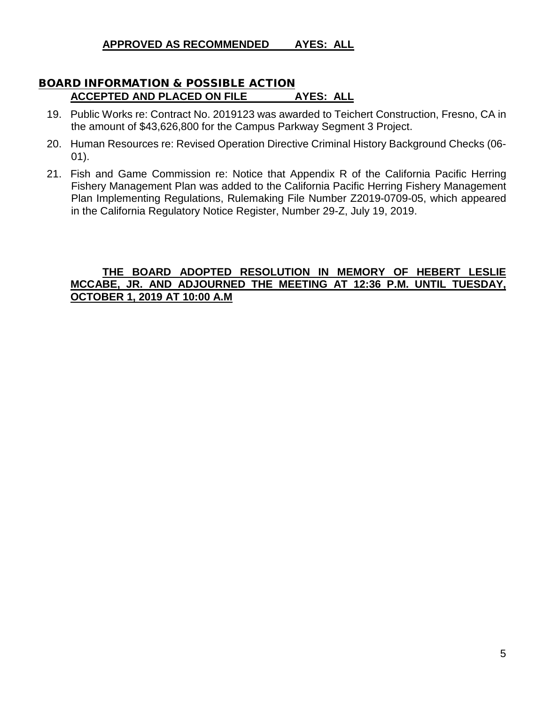**APPROVED AS RECOMMENDED AYES: ALL**

# BOARD INFORMATION & POSSIBLE ACTION **ACCEPTED AND PLACED ON FILE AYES: ALL**

- 19. Public Works re: Contract No. 2019123 was awarded to Teichert Construction, Fresno, CA in the amount of \$43,626,800 for the Campus Parkway Segment 3 Project.
- 20. Human Resources re: Revised Operation Directive Criminal History Background Checks (06- 01).
- 21. Fish and Game Commission re: Notice that Appendix R of the California Pacific Herring Fishery Management Plan was added to the California Pacific Herring Fishery Management Plan Implementing Regulations, Rulemaking File Number Z2019-0709-05, which appeared in the California Regulatory Notice Register, Number 29-Z, July 19, 2019.

### **THE BOARD ADOPTED RESOLUTION IN MEMORY OF HEBERT LESLIE MCCABE, JR. AND ADJOURNED THE MEETING AT 12:36 P.M. UNTIL TUESDAY, OCTOBER 1, 2019 AT 10:00 A.M**